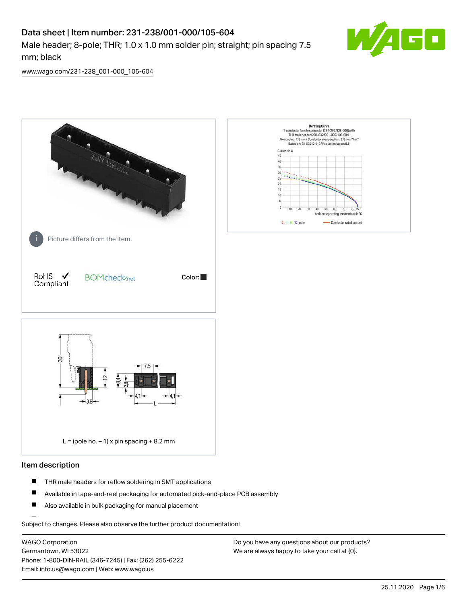# Data sheet | Item number: 231-238/001-000/105-604

Male header; 8-pole; THR; 1.0 x 1.0 mm solder pin; straight; pin spacing 7.5 mm; black



[www.wago.com/231-238\\_001-000\\_105-604](http://www.wago.com/231-238_001-000_105-604)



#### Item description

- $\blacksquare$ THR male headers for reflow soldering in SMT applications
- $\blacksquare$ Available in tape-and-reel packaging for automated pick-and-place PCB assembly
- $\blacksquare$ Also available in bulk packaging for manual placement

Subject to changes. Please also observe the further product documentation!

WAGO Corporation Germantown, WI 53022 Phone: 1-800-DIN-RAIL (346-7245) | Fax: (262) 255-6222 Email: info.us@wago.com | Web: www.wago.us

Do you have any questions about our products? We are always happy to take your call at {0}.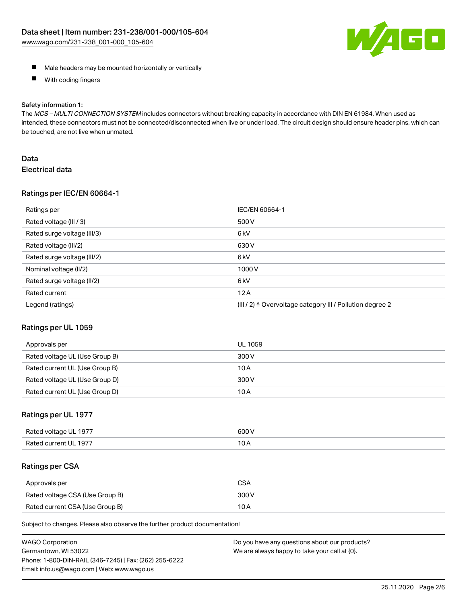

- **Male headers may be mounted horizontally or vertically**
- $\blacksquare$ With coding fingers

#### Safety information 1:

The MCS - MULTI CONNECTION SYSTEM includes connectors without breaking capacity in accordance with DIN EN 61984. When used as intended, these connectors must not be connected/disconnected when live or under load. The circuit design should ensure header pins, which can be touched, are not live when unmated.

### Data Electrical data

#### Ratings per IEC/EN 60664-1

| Ratings per                 | IEC/EN 60664-1                                                        |
|-----------------------------|-----------------------------------------------------------------------|
| Rated voltage (III / 3)     | 500 V                                                                 |
| Rated surge voltage (III/3) | 6 <sub>kV</sub>                                                       |
| Rated voltage (III/2)       | 630 V                                                                 |
| Rated surge voltage (III/2) | 6 <sub>kV</sub>                                                       |
| Nominal voltage (II/2)      | 1000V                                                                 |
| Rated surge voltage (II/2)  | 6 <sub>k</sub> V                                                      |
| Rated current               | 12A                                                                   |
| Legend (ratings)            | $(III / 2)$ $\triangle$ Overvoltage category III / Pollution degree 2 |

#### Ratings per UL 1059

| Approvals per                  | UL 1059 |
|--------------------------------|---------|
| Rated voltage UL (Use Group B) | 300 V   |
| Rated current UL (Use Group B) | 10 A    |
| Rated voltage UL (Use Group D) | 300 V   |
| Rated current UL (Use Group D) | 10 A    |

#### Ratings per UL 1977

| Rated<br>anstlov b<br>-197.<br>ווי | ANO N |
|------------------------------------|-------|
| Rater                              | 10    |
| -197                               | IVA   |
|                                    |       |

#### Ratings per CSA

| Approvals per                   | CSA   |
|---------------------------------|-------|
| Rated voltage CSA (Use Group B) | 300 V |
| Rated current CSA (Use Group B) | 10 A  |

Subject to changes. Please also observe the further product documentation!

| <b>WAGO Corporation</b>                                | Do you have any questions about our products? |
|--------------------------------------------------------|-----------------------------------------------|
| Germantown, WI 53022                                   | We are always happy to take your call at {0}. |
| Phone: 1-800-DIN-RAIL (346-7245)   Fax: (262) 255-6222 |                                               |
| Email: info.us@wago.com   Web: www.wago.us             |                                               |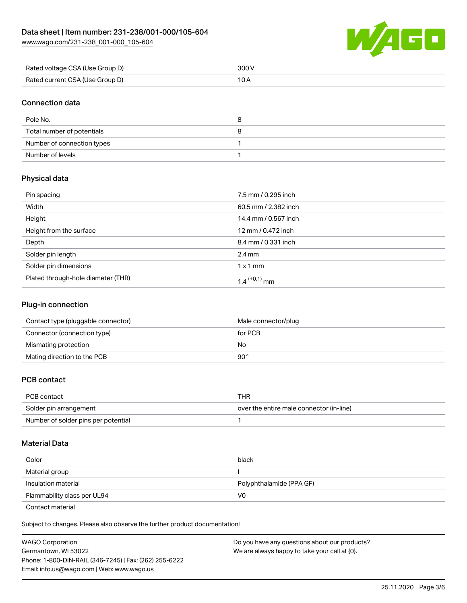[www.wago.com/231-238\\_001-000\\_105-604](http://www.wago.com/231-238_001-000_105-604)



| Rated voltage CSA (Use Group D) | 300 V |
|---------------------------------|-------|
| Rated current CSA (Use Group D) |       |

### Connection data

| Pole No.                   |  |
|----------------------------|--|
| Total number of potentials |  |
| Number of connection types |  |
| Number of levels           |  |

## Physical data

| Pin spacing                        | 7.5 mm / 0.295 inch  |
|------------------------------------|----------------------|
| Width                              | 60.5 mm / 2.382 inch |
| Height                             | 14.4 mm / 0.567 inch |
| Height from the surface            | 12 mm / 0.472 inch   |
| Depth                              | 8.4 mm / 0.331 inch  |
| Solder pin length                  | $2.4 \text{ mm}$     |
| Solder pin dimensions              | $1 \times 1$ mm      |
| Plated through-hole diameter (THR) | 1.4 $^{(+0.1)}$ mm   |

# Plug-in connection

| Contact type (pluggable connector) | Male connector/plug |
|------------------------------------|---------------------|
| Connector (connection type)        | for PCB             |
| Mismating protection               | No                  |
| Mating direction to the PCB        | 90°                 |

## PCB contact

| PCB contact                         | THR                                      |
|-------------------------------------|------------------------------------------|
| Solder pin arrangement              | over the entire male connector (in-line) |
| Number of solder pins per potential |                                          |

#### Material Data

| Color                       | black                    |
|-----------------------------|--------------------------|
| Material group              |                          |
| Insulation material         | Polyphthalamide (PPA GF) |
| Flammability class per UL94 | V0                       |

Contact material

Subject to changes. Please also observe the further product documentation!  $\mathbf{E}$ 

| <b>WAGO Corporation</b>                                | Do you have any questions about our products? |
|--------------------------------------------------------|-----------------------------------------------|
| Germantown, WI 53022                                   | We are always happy to take your call at {0}. |
| Phone: 1-800-DIN-RAIL (346-7245)   Fax: (262) 255-6222 |                                               |
| Email: info.us@wago.com   Web: www.wago.us             |                                               |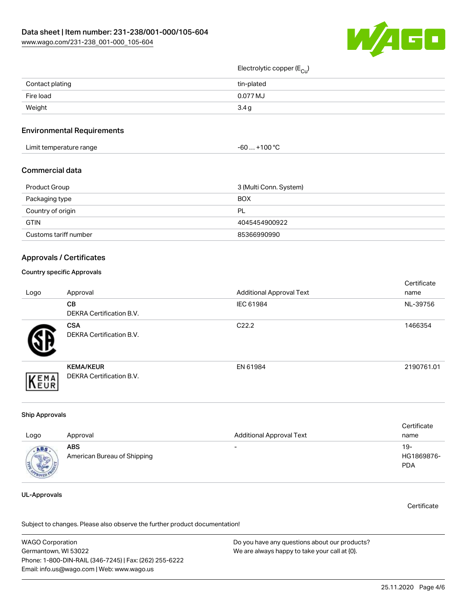

# Electrolytic copper (E<sub>Cu</sub>)

| Contact plating | tin-plated |
|-----------------|------------|
| Fire load       | 0.077 MJ   |
| Weight          | 3.4g       |

#### Environmental Requirements

| Limit temperature range<br>the contract of the contract of the contract of the contract of the contract of the contract of the contract of | $+100 °C$<br>-60 |  |
|--------------------------------------------------------------------------------------------------------------------------------------------|------------------|--|
|--------------------------------------------------------------------------------------------------------------------------------------------|------------------|--|

#### Commercial data

| Product Group         | 3 (Multi Conn. System) |
|-----------------------|------------------------|
| Packaging type        | <b>BOX</b>             |
| Country of origin     | PL                     |
| <b>GTIN</b>           | 4045454900922          |
| Customs tariff number | 85366990990            |

#### Approvals / Certificates

#### Country specific Approvals

| Logo | Approval                                            | <b>Additional Approval Text</b> | Certificate<br>name |
|------|-----------------------------------------------------|---------------------------------|---------------------|
|      | <b>CB</b><br><b>DEKRA Certification B.V.</b>        | IEC 61984                       | NL-39756            |
|      | <b>CSA</b><br>DEKRA Certification B.V.              | C <sub>22.2</sub>               | 1466354             |
| EMA  | <b>KEMA/KEUR</b><br><b>DEKRA Certification B.V.</b> | EN 61984                        | 2190761.01          |

#### Ship Approvals

| Logo                            | Approval                                  | <b>Additional Approval Text</b> | Certificate<br>name             |
|---------------------------------|-------------------------------------------|---------------------------------|---------------------------------|
| <b>ABS</b><br><b>CONTRACTOR</b> | <b>ABS</b><br>American Bureau of Shipping | $\overline{\phantom{0}}$        | 19-<br>HG1869876-<br><b>PDA</b> |

### UL-Approvals

**Certificate** 

Subject to changes. Please also observe the further product documentation!

WAGO Corporation Germantown, WI 53022 Phone: 1-800-DIN-RAIL (346-7245) | Fax: (262) 255-6222 Email: info.us@wago.com | Web: www.wago.us Do you have any questions about our products? We are always happy to take your call at {0}.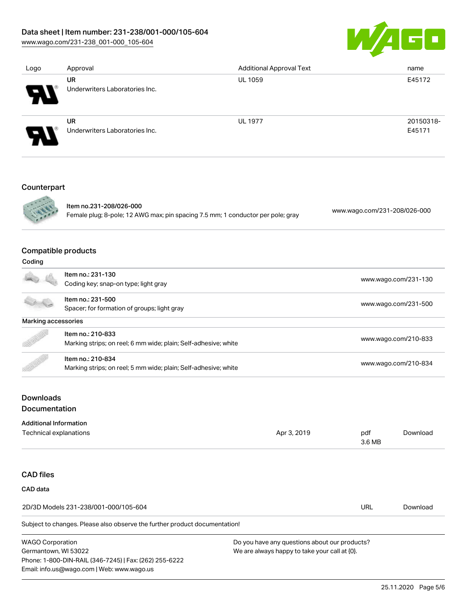## Data sheet | Item number: 231-238/001-000/105-604

[www.wago.com/231-238\\_001-000\\_105-604](http://www.wago.com/231-238_001-000_105-604)



| Logo | Approval                       | <b>Additional Approval Text</b> | name      |
|------|--------------------------------|---------------------------------|-----------|
|      | UR                             | <b>UL 1059</b>                  | E45172    |
| Э.   | Underwriters Laboratories Inc. |                                 |           |
|      | UR                             | <b>UL 1977</b>                  | 20150318- |
| Э.   | Underwriters Laboratories Inc. |                                 | E45171    |
|      |                                |                                 |           |
|      |                                |                                 |           |

### Counterpart



Item no.231-208/026-000 Female plug; 8-pole; 12 AWG max; pin spacing 7.5 mm; 1 conductor per pole; gray [www.wago.com/231-208/026-000](https://www.wago.com/231-208/026-000)

# Compatible products

| Coding              |                                                                 |                      |
|---------------------|-----------------------------------------------------------------|----------------------|
|                     | Item no.: 231-130                                               |                      |
|                     | Coding key; snap-on type; light gray                            | www.wago.com/231-130 |
|                     | Item no.: 231-500                                               | www.wago.com/231-500 |
|                     | Spacer; for formation of groups; light gray                     |                      |
| Marking accessories |                                                                 |                      |
| B                   | Item no.: 210-833                                               |                      |
|                     | Marking strips; on reel; 6 mm wide; plain; Self-adhesive; white | www.wago.com/210-833 |
|                     | Item no.: 210-834                                               |                      |
|                     | Marking strips; on reel; 5 mm wide; plain; Self-adhesive; white | www.wago.com/210-834 |

# Downloads Documentation

Phone: 1-800-DIN-RAIL (346-7245) | Fax: (262) 255-6222

Email: info.us@wago.com | Web: www.wago.us

| <b>Additional Information</b>                                              |                                               |               |          |
|----------------------------------------------------------------------------|-----------------------------------------------|---------------|----------|
| Technical explanations                                                     | Apr 3, 2019                                   | pdf<br>3.6 MB | Download |
|                                                                            |                                               |               |          |
| <b>CAD files</b>                                                           |                                               |               |          |
| CAD data                                                                   |                                               |               |          |
| 2D/3D Models 231-238/001-000/105-604                                       |                                               | URL           | Download |
| Subject to changes. Please also observe the further product documentation! |                                               |               |          |
| <b>WAGO Corporation</b>                                                    | Do you have any questions about our products? |               |          |
| Germantown, WI 53022                                                       | We are always happy to take your call at {0}. |               |          |